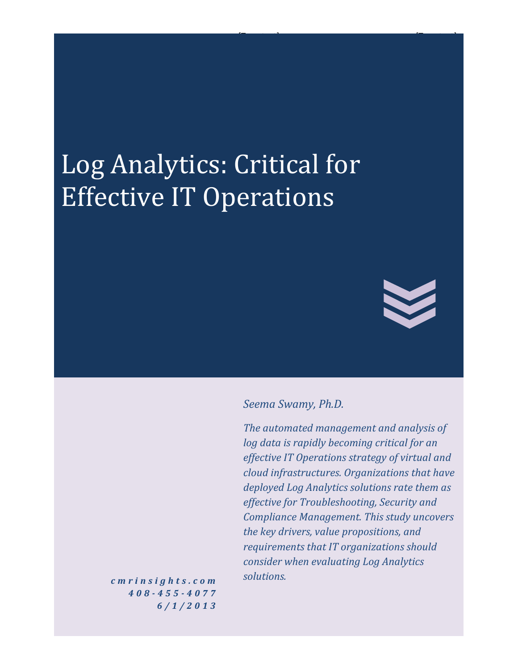# Log Analytics: Critical for Effective IT Operations



#### *Seema Swamy, Ph.D.*

*The automated management and analysis of log data is rapidly becoming critical for an effective IT Operations strategy of virtual and cloud infrastructures. Organizations that have deployed Log Analytics solutions rate them as effective for Troubleshooting, Security and Compliance Management. This study uncovers the key drivers, value propositions, and requirements that IT organizations should consider when evaluating Log Analytics solutions.*

for the state of the state of the state of the state of the state of the state of

*c m r i n s i g h t s . c o m 408 - 4 5 5 - 4 0 7 7 6 / 1 / 2 0 1 3*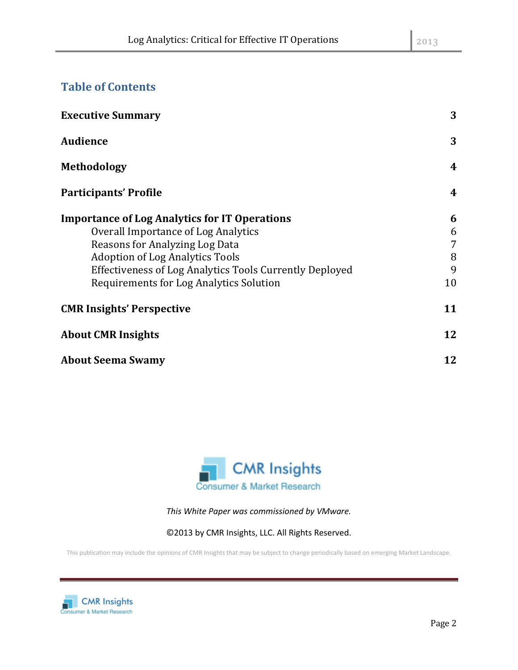## **Table of Contents**

| <b>Executive Summary</b>                                       | 3              |
|----------------------------------------------------------------|----------------|
| <b>Audience</b>                                                | 3              |
| <b>Methodology</b>                                             | $\overline{4}$ |
| <b>Participants' Profile</b>                                   | $\overline{4}$ |
| <b>Importance of Log Analytics for IT Operations</b>           | 6              |
| <b>Overall Importance of Log Analytics</b>                     | 6              |
| Reasons for Analyzing Log Data                                 | 7              |
| <b>Adoption of Log Analytics Tools</b>                         | 8              |
| <b>Effectiveness of Log Analytics Tools Currently Deployed</b> | 9              |
| <b>Requirements for Log Analytics Solution</b>                 | 10             |
| <b>CMR Insights' Perspective</b>                               | 11             |
| <b>About CMR Insights</b>                                      | 12             |
| <b>About Seema Swamy</b>                                       | 12             |



*This White Paper was commissioned by VMware.*

©2013 by CMR Insights, LLC. All Rights Reserved.

This publication may include the opinions of CMR Insights that may be subject to change periodically based on emerging Market Landscape.

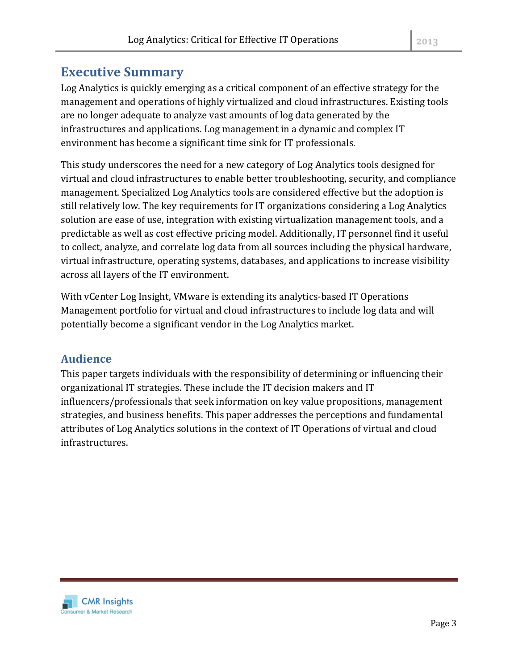# **Executive Summary**

Log Analytics is quickly emerging as a critical component of an effective strategy for the management and operations of highly virtualized and cloud infrastructures. Existing tools are no longer adequate to analyze vast amounts of log data generated by the infrastructures and applications. Log management in a dynamic and complex IT environment has become a significant time sink for IT professionals.

This study underscores the need for a new category of Log Analytics tools designed for virtual and cloud infrastructures to enable better troubleshooting, security, and compliance management. Specialized Log Analytics tools are considered effective but the adoption is still relatively low. The key requirements for IT organizations considering a Log Analytics solution are ease of use, integration with existing virtualization management tools, and a predictable as well as cost effective pricing model. Additionally, IT personnel find it useful to collect, analyze, and correlate log data from all sources including the physical hardware, virtual infrastructure, operating systems, databases, and applications to increase visibility across all layers of the IT environment.

With vCenter Log Insight, VMware is extending its analytics-based IT Operations Management portfolio for virtual and cloud infrastructures to include log data and will potentially become a significant vendor in the Log Analytics market.

## **Audience**

This paper targets individuals with the responsibility of determining or influencing their organizational IT strategies. These include the IT decision makers and IT influencers/professionals that seek information on key value propositions, management strategies, and business benefits. This paper addresses the perceptions and fundamental attributes of Log Analytics solutions in the context of IT Operations of virtual and cloud infrastructures.

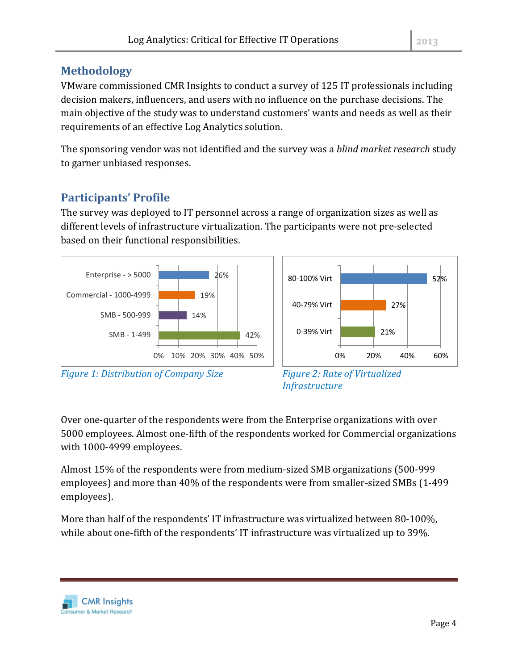## **Methodology**

VMware commissioned CMR Insights to conduct a survey of 125 IT professionals including decision makers, influencers, and users with no influence on the purchase decisions. The main objective of the study was to understand customers' wants and needs as well as their requirements of an effective Log Analytics solution.

The sponsoring vendor was not identified and the survey was a *blind market research* study to garner unbiased responses.

## **Participants' Profile**

The survey was deployed to IT personnel across a range of organization sizes as well as different levels of infrastructure virtualization. The participants were not pre-selected based on their functional responsibilities.





*Figure 1: Distribution of Company Size Figure 2: Rate of Virtualized* 

*Infrastructure*

Over one-quarter of the respondents were from the Enterprise organizations with over 5000 employees. Almost one-fifth of the respondents worked for Commercial organizations with 1000-4999 employees.

Almost 15% of the respondents were from medium-sized SMB organizations (500-999 employees) and more than 40% of the respondents were from smaller-sized SMBs (1-499 employees).

More than half of the respondents' IT infrastructure was virtualized between 80-100%, while about one-fifth of the respondents' IT infrastructure was virtualized up to 39%.

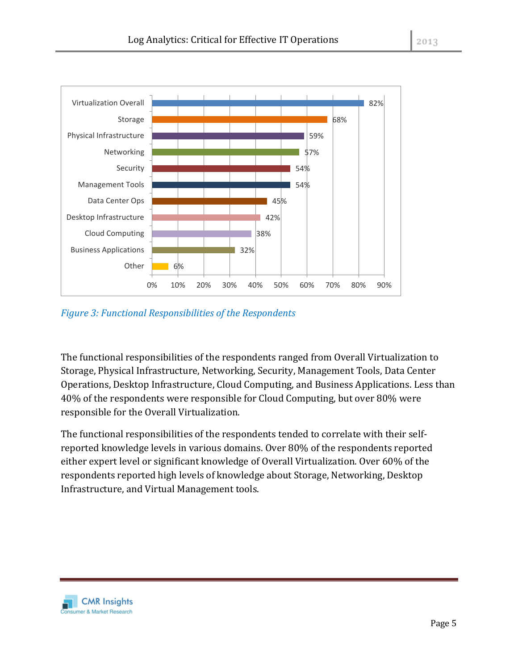

*Figure 3: Functional Responsibilities of the Respondents*

The functional responsibilities of the respondents ranged from Overall Virtualization to Storage, Physical Infrastructure, Networking, Security, Management Tools, Data Center Operations, Desktop Infrastructure, Cloud Computing, and Business Applications. Less than 40% of the respondents were responsible for Cloud Computing, but over 80% were responsible for the Overall Virtualization.

0% 10% 20% 30% 40% 50% 60% 70% 80% 90%

The functional responsibilities of the respondents tended to correlate with their selfreported knowledge levels in various domains. Over 80% of the respondents reported either expert level or significant knowledge of Overall Virtualization. Over 60% of the respondents reported high levels of knowledge about Storage, Networking, Desktop Infrastructure, and Virtual Management tools.

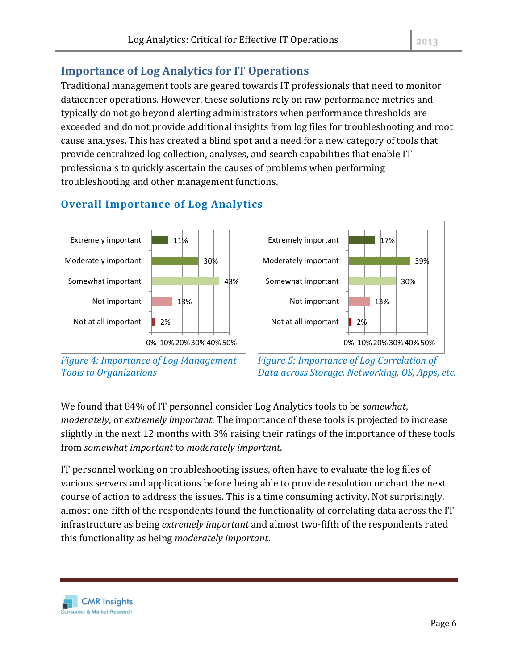# **Importance of Log Analytics for IT Operations**

Traditional management tools are geared towards IT professionals that need to monitor datacenter operations. However, these solutions rely on raw performance metrics and typically do not go beyond alerting administrators when performance thresholds are exceeded and do not provide additional insights from log files for troubleshooting and root cause analyses. This has created a blind spot and a need for a new category of tools that provide centralized log collection, analyses, and search capabilities that enable IT professionals to quickly ascertain the causes of problems when performing troubleshooting and other management functions.



## **Overall Importance of Log Analytics**



*Figure 4: Importance of Log Management Tools to Organizations*



We found that 84% of IT personnel consider Log Analytics tools to be *somewhat*, *moderately*, or *extremely important*. The importance of these tools is projected to increase slightly in the next 12 months with 3% raising their ratings of the importance of these tools from *somewhat important* to *moderately important*.

IT personnel working on troubleshooting issues, often have to evaluate the log files of various servers and applications before being able to provide resolution or chart the next course of action to address the issues. This is a time consuming activity. Not surprisingly, almost one-fifth of the respondents found the functionality of correlating data across the IT infrastructure as being *extremely important* and almost two-fifth of the respondents rated this functionality as being *moderately important*.

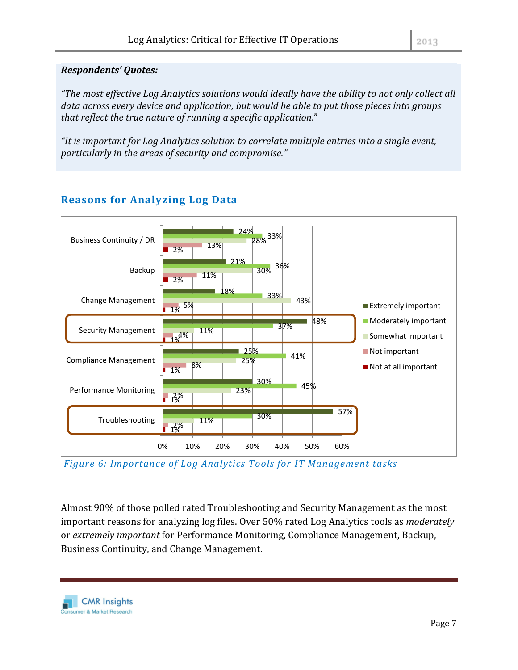#### *Respondents' Quotes:*

*"The most effective Log Analytics solutions would ideally have the ability to not only collect all data across every device and application, but would be able to put those pieces into groups that reflect the true nature of running a specific application*."

*"It is important for Log Analytics solution to correlate multiple entries into a single event, particularly in the areas of security and compromise."*



# **Reasons for Analyzing Log Data**

*Figure 6: Importance of Log Analytics Tools for IT Management tasks*

Almost 90% of those polled rated Troubleshooting and Security Management as the most important reasons for analyzing log files. Over 50% rated Log Analytics tools as *moderately*  or *extremely important* for Performance Monitoring, Compliance Management, Backup, Business Continuity, and Change Management.

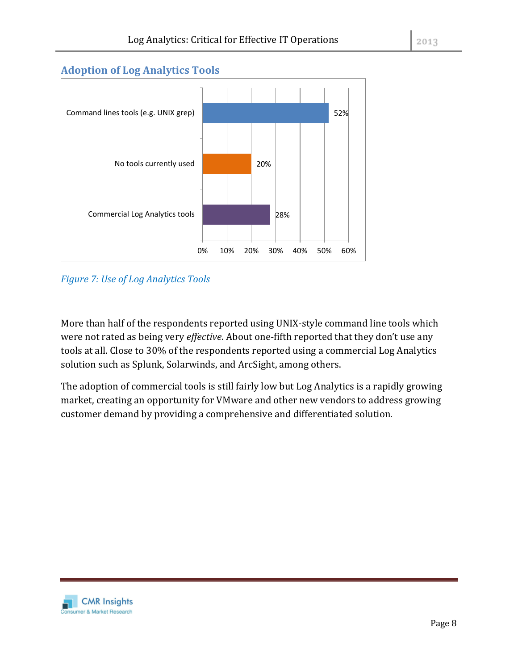#### **Adoption of Log Analytics Tools**



*Figure 7: Use of Log Analytics Tools*

More than half of the respondents reported using UNIX-style command line tools which were not rated as being very *effective*. About one-fifth reported that they don't use any tools at all. Close to 30% of the respondents reported using a commercial Log Analytics solution such as Splunk, Solarwinds, and ArcSight, among others.

The adoption of commercial tools is still fairly low but Log Analytics is a rapidly growing market, creating an opportunity for VMware and other new vendors to address growing customer demand by providing a comprehensive and differentiated solution.

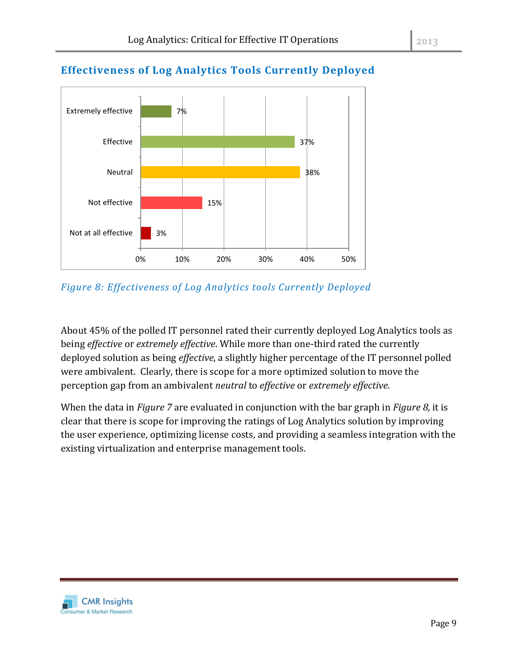

# **Effectiveness of Log Analytics Tools Currently Deployed**

*Figure 8: Effectiveness of Log Analytics tools Currently Deployed*

About 45% of the polled IT personnel rated their currently deployed Log Analytics tools as being *effective* or *extremely effective*. While more than one-third rated the currently deployed solution as being *effective*, a slightly higher percentage of the IT personnel polled were ambivalent. Clearly, there is scope for a more optimized solution to move the perception gap from an ambivalent *neutral* to *effective* or *extremely effective*.

When the data in *Figure 7* are evaluated in conjunction with the bar graph in *Figure 8,* it is clear that there is scope for improving the ratings of Log Analytics solution by improving the user experience, optimizing license costs, and providing a seamless integration with the existing virtualization and enterprise management tools.

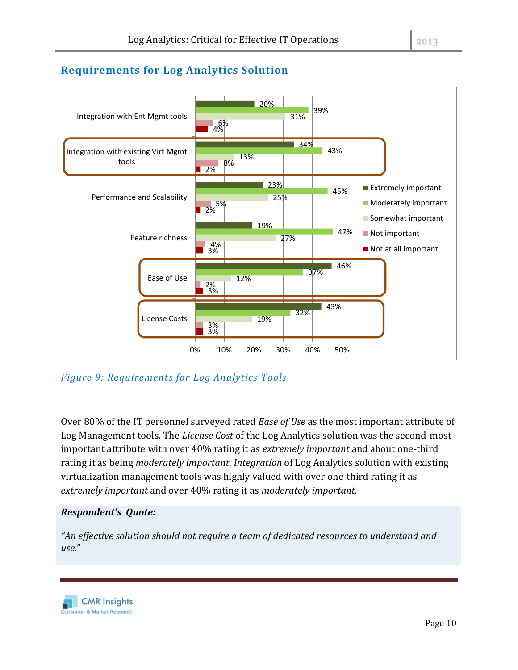#### 2013

### **Requirements for Log Analytics Solution**



*Figure 9: Requirements for Log Analytics Tools* 

Over 80% of the IT personnel surveyed rated *Ease of Use* as the most important attribute of Log Management tools. The *License Cost* of the Log Analytics solution was the second-most important attribute with over 40% rating it as *extremely important* and about one-third rating it as being *moderately important*. *Integration* of Log Analytics solution with existing virtualization management tools was highly valued with over one-third rating it as *extremely important* and over 40% rating it as *moderately important.*

#### *Respondent's Quote:*

*"An effective solution should not require a team of dedicated resources to understand and use*."

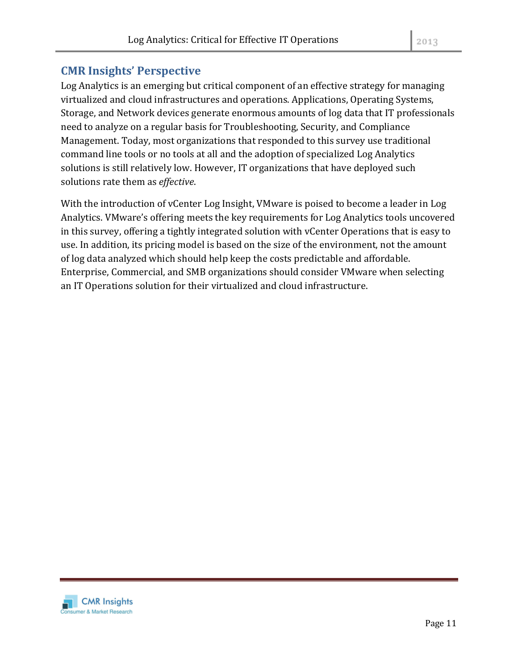## **CMR Insights' Perspective**

Log Analytics is an emerging but critical component of an effective strategy for managing virtualized and cloud infrastructures and operations. Applications, Operating Systems, Storage, and Network devices generate enormous amounts of log data that IT professionals need to analyze on a regular basis for Troubleshooting, Security, and Compliance Management. Today, most organizations that responded to this survey use traditional command line tools or no tools at all and the adoption of specialized Log Analytics solutions is still relatively low. However, IT organizations that have deployed such solutions rate them as *effective*.

With the introduction of vCenter Log Insight, VMware is poised to become a leader in Log Analytics. VMware's offering meets the key requirements for Log Analytics tools uncovered in this survey, offering a tightly integrated solution with vCenter Operations that is easy to use. In addition, its pricing model is based on the size of the environment, not the amount of log data analyzed which should help keep the costs predictable and affordable. Enterprise, Commercial, and SMB organizations should consider VMware when selecting an IT Operations solution for their virtualized and cloud infrastructure.